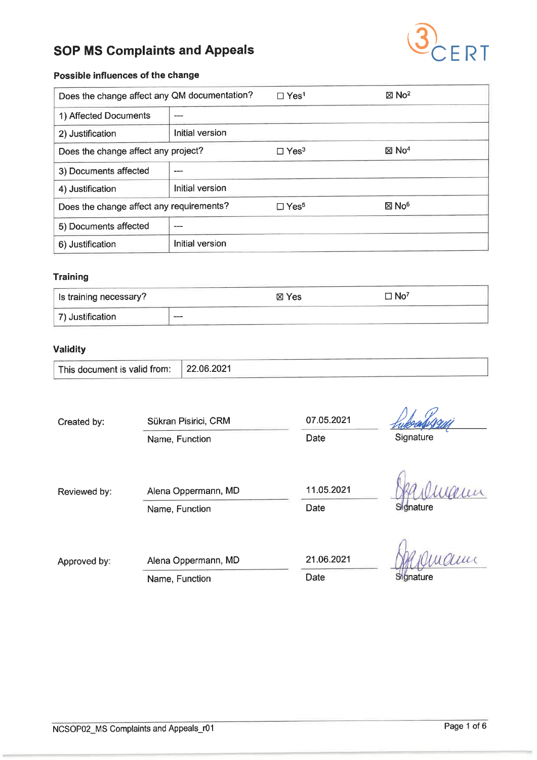

### Possible influences of the change

| Does the change affect any QM documentation? |                 | $\Box$ Yes <sup>1</sup> | $\boxtimes$ No <sup>2</sup> |
|----------------------------------------------|-----------------|-------------------------|-----------------------------|
| 1) Affected Documents                        |                 |                         |                             |
| 2) Justification                             | Initial version |                         |                             |
| Does the change affect any project?          |                 | $\Box$ Yes <sup>3</sup> | $\boxtimes$ No <sup>4</sup> |
| 3) Documents affected                        |                 |                         |                             |
| 4) Justification                             | Initial version |                         |                             |
| Does the change affect any requirements?     |                 | $\Box$ Yes <sup>5</sup> | $\boxtimes$ No <sup>6</sup> |
| 5) Documents affected                        |                 |                         |                             |
| 6) Justification                             | Initial version |                         |                             |

#### **Training**

| Is training necessary? |                                                                                                | ⊠ Yes | $\square$ No <sup>7</sup> |  |
|------------------------|------------------------------------------------------------------------------------------------|-------|---------------------------|--|
| 7) Justification       | $\frac{1}{2} \left( \frac{1}{2} \right) \left( \frac{1}{2} \right) \left( \frac{1}{2} \right)$ |       |                           |  |

## Validity

| This document is valid from: | 22.06.2021 |
|------------------------------|------------|
|------------------------------|------------|

| Created by:  | Sükran Pisirici, CRM | 07.05.2021 |           |
|--------------|----------------------|------------|-----------|
|              | Name, Function       | Date       | Signature |
| Reviewed by: | Alena Oppermann, MD  | 11.05.2021 |           |
|              | Name, Function       | Date       | Signature |
|              |                      | 21.06.2021 |           |
| Approved by: | Alena Oppermann, MD  |            |           |
|              | Name, Function       | Date       | Signature |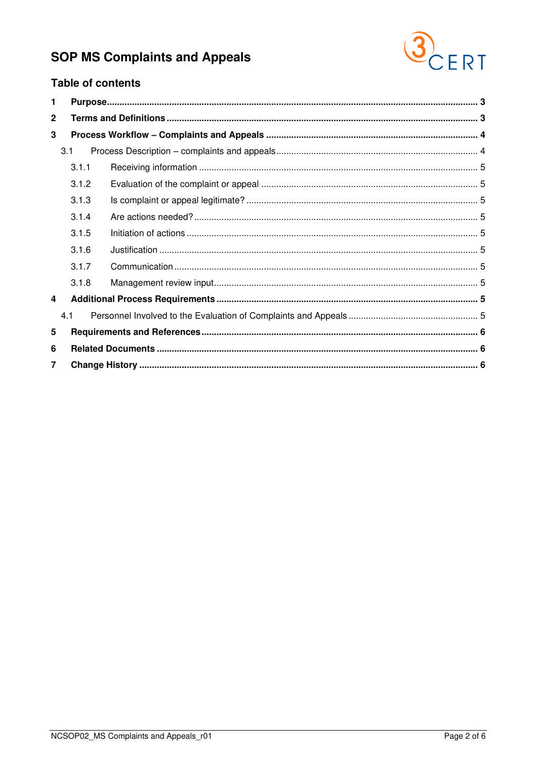

## **Table of contents**

| 1              |       |  |  |
|----------------|-------|--|--|
| $\mathbf{2}$   |       |  |  |
| 3              |       |  |  |
|                | 3.1   |  |  |
|                | 3.1.1 |  |  |
|                | 3.1.2 |  |  |
|                | 3.1.3 |  |  |
|                | 3.1.4 |  |  |
|                | 3.1.5 |  |  |
|                | 3.1.6 |  |  |
|                | 3.1.7 |  |  |
|                | 3.1.8 |  |  |
| 4              |       |  |  |
|                | 4.1   |  |  |
| 5              |       |  |  |
| 6              |       |  |  |
| $\overline{7}$ |       |  |  |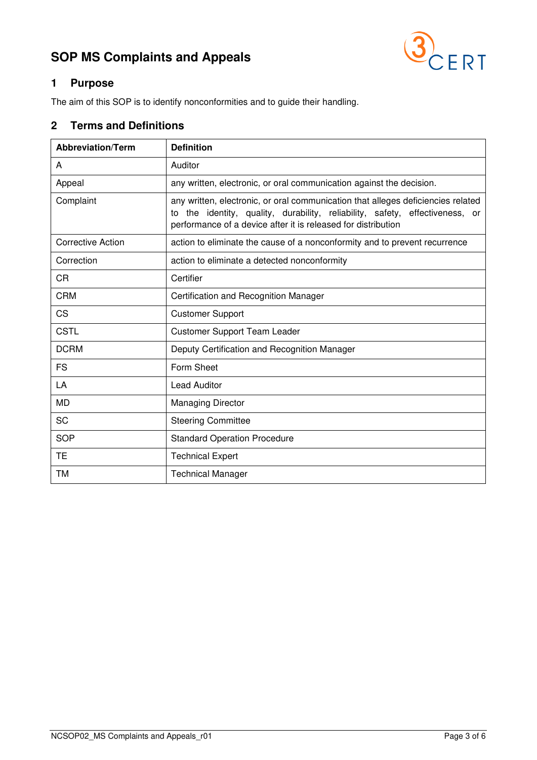

## <span id="page-2-0"></span>**1 Purpose**

The aim of this SOP is to identify nonconformities and to guide their handling.

## <span id="page-2-1"></span>**2 Terms and Definitions**

| <b>Abbreviation/Term</b> | <b>Definition</b>                                                                                                                                                                                                                    |
|--------------------------|--------------------------------------------------------------------------------------------------------------------------------------------------------------------------------------------------------------------------------------|
| A                        | Auditor                                                                                                                                                                                                                              |
| Appeal                   | any written, electronic, or oral communication against the decision.                                                                                                                                                                 |
| Complaint                | any written, electronic, or oral communication that alleges deficiencies related<br>the identity, quality, durability, reliability, safety, effectiveness, or<br>to<br>performance of a device after it is released for distribution |
| <b>Corrective Action</b> | action to eliminate the cause of a nonconformity and to prevent recurrence                                                                                                                                                           |
| Correction               | action to eliminate a detected nonconformity                                                                                                                                                                                         |
| <b>CR</b>                | Certifier                                                                                                                                                                                                                            |
| <b>CRM</b>               | Certification and Recognition Manager                                                                                                                                                                                                |
| CS                       | <b>Customer Support</b>                                                                                                                                                                                                              |
| <b>CSTL</b>              | <b>Customer Support Team Leader</b>                                                                                                                                                                                                  |
| <b>DCRM</b>              | Deputy Certification and Recognition Manager                                                                                                                                                                                         |
| <b>FS</b>                | Form Sheet                                                                                                                                                                                                                           |
| LA                       | <b>Lead Auditor</b>                                                                                                                                                                                                                  |
| <b>MD</b>                | <b>Managing Director</b>                                                                                                                                                                                                             |
| <b>SC</b>                | <b>Steering Committee</b>                                                                                                                                                                                                            |
| <b>SOP</b>               | <b>Standard Operation Procedure</b>                                                                                                                                                                                                  |
| TE                       | <b>Technical Expert</b>                                                                                                                                                                                                              |
| ТM                       | <b>Technical Manager</b>                                                                                                                                                                                                             |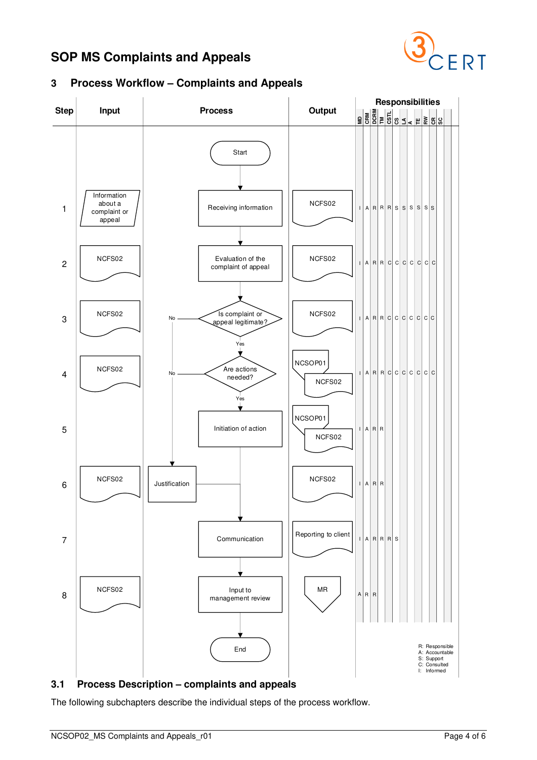

<span id="page-3-0"></span>



## <span id="page-3-1"></span>**3.1 Process Description – complaints and appeals**

The following subchapters describe the individual steps of the process workflow.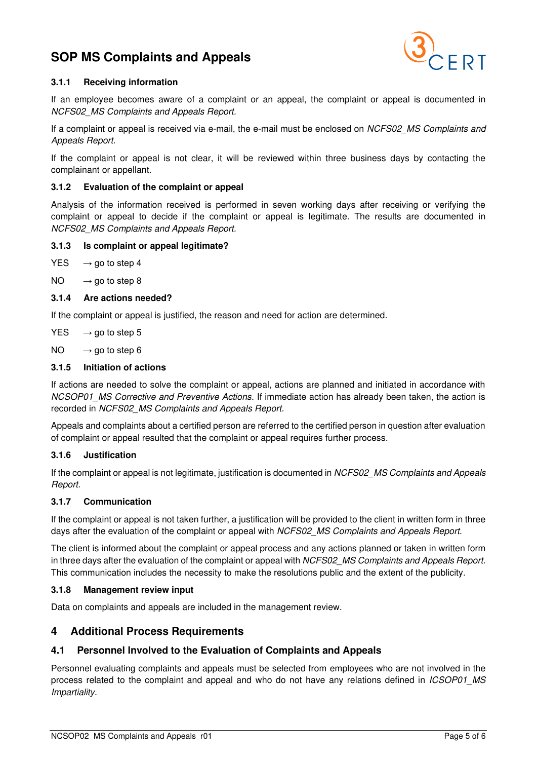

#### <span id="page-4-0"></span>**3.1.1 Receiving information**

If an employee becomes aware of a complaint or an appeal, the complaint or appeal is documented in NCFS02\_MS Complaints and Appeals Report.

If a complaint or appeal is received via e-mail, the e-mail must be enclosed on NCFS02\_MS Complaints and Appeals Report.

If the complaint or appeal is not clear, it will be reviewed within three business days by contacting the complainant or appellant.

#### <span id="page-4-1"></span>**3.1.2 Evaluation of the complaint or appeal**

Analysis of the information received is performed in seven working days after receiving or verifying the complaint or appeal to decide if the complaint or appeal is legitimate. The results are documented in NCFS02\_MS Complaints and Appeals Report.

#### <span id="page-4-2"></span>**3.1.3 Is complaint or appeal legitimate?**

- $YES \rightarrow go to step 4$
- $NO \rightarrow qo$  to step 8
- <span id="page-4-3"></span>**3.1.4 Are actions needed?**

If the complaint or appeal is justified, the reason and need for action are determined.

 $YES \rightarrow qo$  to step 5

 $NO \rightarrow go$  to step 6

#### <span id="page-4-4"></span>**3.1.5 Initiation of actions**

If actions are needed to solve the complaint or appeal, actions are planned and initiated in accordance with NCSOP01\_MS Corrective and Preventive Actions. If immediate action has already been taken, the action is recorded in NCFS02\_MS Complaints and Appeals Report.

Appeals and complaints about a certified person are referred to the certified person in question after evaluation of complaint or appeal resulted that the complaint or appeal requires further process.

#### <span id="page-4-5"></span>**3.1.6 Justification**

If the complaint or appeal is not legitimate, justification is documented in NCFS02\_MS Complaints and Appeals Report.

#### <span id="page-4-6"></span>**3.1.7 Communication**

If the complaint or appeal is not taken further, a justification will be provided to the client in written form in three days after the evaluation of the complaint or appeal with NCFS02 MS Complaints and Appeals Report.

The client is informed about the complaint or appeal process and any actions planned or taken in written form in three days after the evaluation of the complaint or appeal with NCFS02 MS Complaints and Appeals Report. This communication includes the necessity to make the resolutions public and the extent of the publicity.

#### <span id="page-4-7"></span>**3.1.8 Management review input**

Data on complaints and appeals are included in the management review.

#### <span id="page-4-8"></span>**4 Additional Process Requirements**

#### <span id="page-4-9"></span>**4.1 Personnel Involved to the Evaluation of Complaints and Appeals**

Personnel evaluating complaints and appeals must be selected from employees who are not involved in the process related to the complaint and appeal and who do not have any relations defined in ICSOP01\_MS Impartiality.